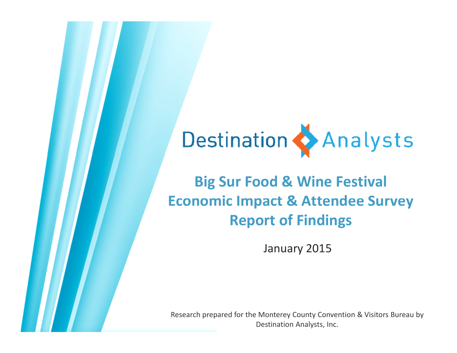# Destination Analysts

### **Big Sur Food & Wine Festival Economic Impact & Attendee Survey Report of Findings**

January 2015

Research prepared for the Monterey County Convention & Visitors Bureau by Destination Analysts, Inc.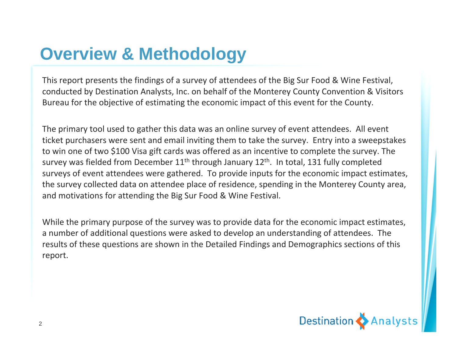# **Overview & Methodology**

This report presents the findings of a survey of attendees of the Big Sur Food & Wine Festival, conducted by Destination Analysts, Inc. on behalf of the Monterey County Convention & Visitors Bureau for the objective of estimating the economic impact of this event for the County.

The primary tool used to gather this data was an online survey of event attendees. All event ticket purchasers were sent and email inviting them to take the survey. Entry into a sweepstakes to win one of two \$100 Visa gift cards was offered as an incentive to complete the survey. The survey was fielded from December 11<sup>th</sup> through January 12<sup>th</sup>. In total, 131 fully completed surveys of event attendees were gathered. To provide inputs for the economic impact estimates, the survey collected data on attendee place of residence, spending in the Monterey County area, and motivations for attending the Big Sur Food & Wine Festival.

While the primary purpose of the survey was to provide data for the economic impact estimates, a number of additional questions were asked to develop an understanding of attendees. The results of these questions are shown in the Detailed Findings and Demographics sections of this report.

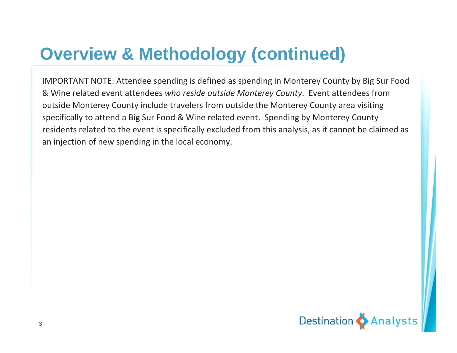# **Overview & Methodology (continued)**

IMPORTANT NOTE: Attendee spending is defined as spending in Monterey County by Big Sur Food & Wine related event attendees *who reside outside Monterey County*. Event attendees from outside Monterey County include travelers from outside the Monterey County area visiting specifically to attend a Big Sur Food & Wine related event. Spending by Monterey County residents related to the event is specifically excluded from this analysis, as it cannot be claimed as an injection of new spending in the local economy.

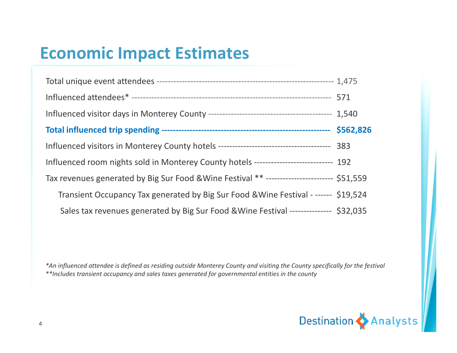# **Economic Impact Estimates**

| Influenced room nights sold in Monterey County hotels -------------------------- 192       |  |
|--------------------------------------------------------------------------------------------|--|
| Tax revenues generated by Big Sur Food & Wine Festival ** ----------------------- \$51,559 |  |
| Transient Occupancy Tax generated by Big Sur Food & Wine Festival - ------ \$19,524        |  |
| Sales tax revenues generated by Big Sur Food & Wine Festival -------------- \$32,035       |  |

\*An influenced attendee is defined as residing outside Monterey County and visiting the County specifically for the festival *\*\*Includes transient occupancy and sales taxes generated for governmental entities in the county*

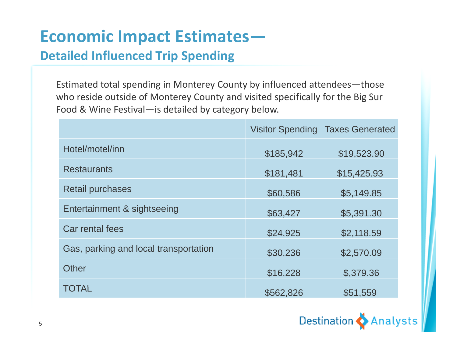# **Economic Impact Estimates—**

#### **Detailed Influenced Trip Spending**

Estimated total spending in Monterey County by influenced attendees—those who reside outside of Monterey County and visited specifically for the Big Sur Food & Wine Festival—is detailed by category below.

|                                       | <b>Visitor Spending</b> | <b>Taxes Generated</b> |
|---------------------------------------|-------------------------|------------------------|
| Hotel/motel/inn                       | \$185,942               | \$19,523.90            |
| <b>Restaurants</b>                    | \$181,481               | \$15,425.93            |
| <b>Retail purchases</b>               | \$60,586                | \$5,149.85             |
| Entertainment & sightseeing           | \$63,427                | \$5,391.30             |
| Car rental fees                       | \$24,925                | \$2,118.59             |
| Gas, parking and local transportation | \$30,236                | \$2,570.09             |
| <b>Other</b>                          | \$16,228                | \$,379.36              |
| <b>TOTAL</b>                          | \$562,826               | \$51,559               |

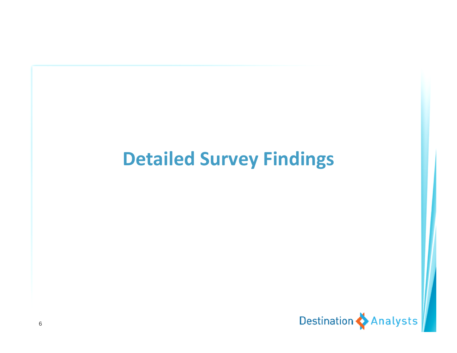# **Detailed Survey Findings**

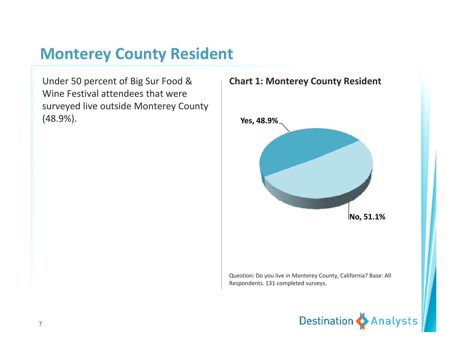### **Monterey County Resident**

Under 50 percent of Big Sur Food & Wine Festival attendees that were surveyed live outside Monterey County <sup>y</sup> yy(48.9%). **Yes, 48.9%**



Question: Do you live in Monterey County, California? Base: All Respondents. 131 completed surveys.

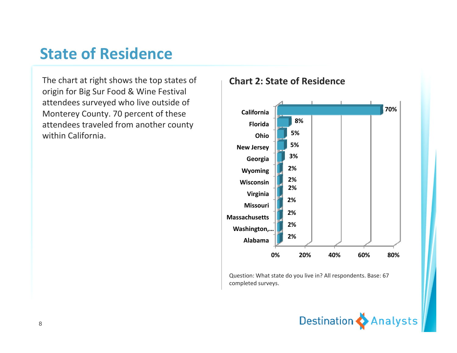### **State of Residence**

The chart at right shows the top states of origin for Big Sur Food & Wine Festival attendees surveyed who live outside of Monterey County. 70 percent of these attendees traveled from another county within California.

#### **Chart 2: State of Residence**



Question: What state do you live in? All respondents. Base: 67 completed surveys.

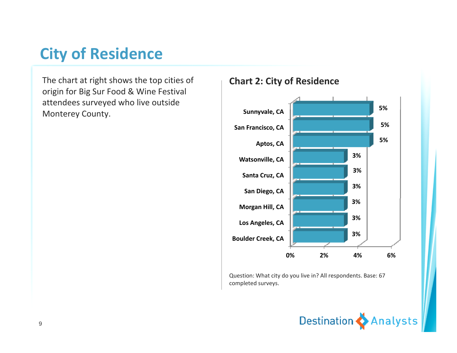### **City of Residence**

The chart at right shows the top cities of origin for Big Sur Food & Wine Festival attendees surveyed who live outside

#### **Chart 2: City of Residence**



Question: What city do you live in? All respondents. Base: 67 completed surveys.

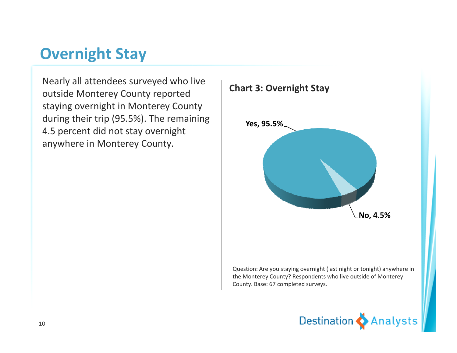### **Overnight Stay**

Nearly all attendees surveyed who live outside Monterey County reported staying overnight in Monterey County during their trip (95.5%). The remaining 4.5 percent did not stay overnight anywhere in Monterey County.



Question: Are you staying overnight (last night or tonight) anywhere in the Monterey County? Respondents who live outside of Monterey County. Base: 67 completed surveys.

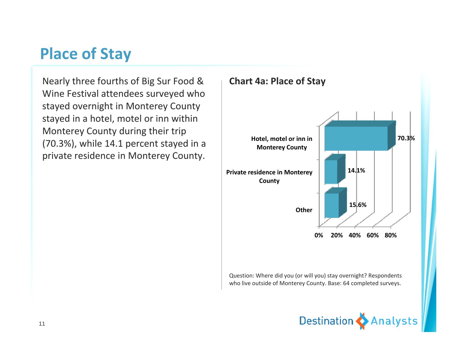### **Place of Stay**

Nearly three fourths of Big Sur Food & Wine Festival attendees surveyed who stayed overnight in Monterey County stayed in a hotel, motel or inn within Monterey County during their trip (70.3%), while 14.1 percent stayed in <sup>a</sup> private residence in Monterey County.



Question: Where did you (or will you) stay overnight? Respondents who live outside of Monterey County. Base: 64 completed surveys.

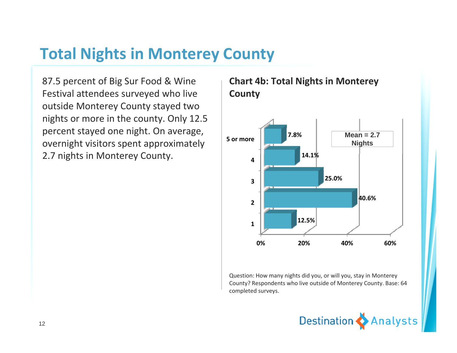### **Total Nights in Monterey County**

87.5 percent of Big Sur Food & Wine Festival attendees surveyed who live outside Monterey County stayed two nights or more in the county. Only 12.5 percent stayed one night. On average, overnight visitors spent approximately 2.7 nights in Monterey County.

#### **Chart 4b: Total Nights in Monterey County**



Question: How many nights did you, or will you, stay in Monterey County? Respondents who live outside of Monterey County. Base: 64 completed surveys.

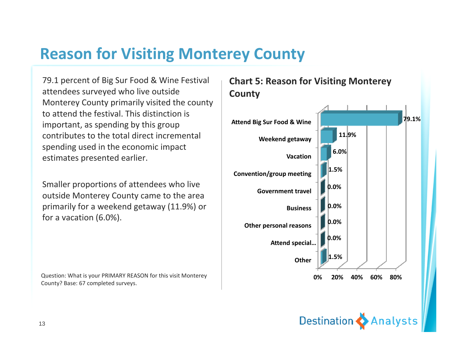### **Reason for Visiting Monterey County**

79.1 percent of Big Sur Food & Wine Festival attendees surveyed who live outside Monterey County primarily visited the county to attend the festival. This distinction is important, as spending by this group contributes to the total direct incremental spending used in the economic impact estimates presented earlier.

Smaller proportions of attendees who live outside Monterey County came to the area **Government travel** primarily for <sup>a</sup> weekend getaway (11.9%) or for a vacation (6.0%).

Question: What is your PRIMARY REASON for this visit Monterey County? Base: 67 completed surveys.





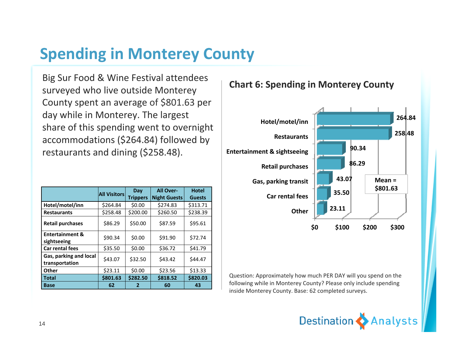### **Spending in Monterey County**

Big Sur Food & Wine Festival attendees surveyed who live outside Monterey County spent an average of \$801.63 per day while in Monterey. The largest share of this spending went to overnight accommodations (\$264.84) followed by restaurants and dining (\$258 48) **Entertainment & sightseeing** (\$258.48).

|                                           | <b>All Visitors</b> | Day<br><b>Trippers</b> | <b>All Over-</b><br><b>Night Guests</b> | <b>Hotel</b><br><b>Guests</b> |
|-------------------------------------------|---------------------|------------------------|-----------------------------------------|-------------------------------|
| Hotel/motel/inn                           | \$264.84            | \$0.00                 | \$274.83                                | \$313.71                      |
| <b>Restaurants</b>                        | \$258.48            | \$200.00               | \$260.50                                | \$238.39                      |
| <b>Retail purchases</b>                   | \$86.29             | \$50.00                | \$87.59                                 | \$95.61                       |
| <b>Entertainment &amp;</b><br>sightseeing | \$90.34             | \$0.00                 | \$91.90                                 | \$72.74                       |
| <b>Car rental fees</b>                    | \$35.50             | \$0.00                 | \$36.72                                 | \$41.79                       |
| Gas, parking and local<br>transportation  | \$43.07             | \$32.50                | \$43.42                                 | \$44.47                       |
| <b>Other</b>                              | \$23.11             | \$0.00                 | \$23.56                                 | \$13.33                       |
| <b>Total</b>                              | \$801.63            | \$282.50               | \$818.52                                | \$820.03                      |
| <b>Base</b>                               | 62                  | 2                      | 60                                      | 43                            |



Question: Approximately how much PER DAY will you spend on the following while in Monterey County? Please only include spending inside Monterey County. Base: 62 completed surveys.



#### **Chart 6: Spending in Monterey County**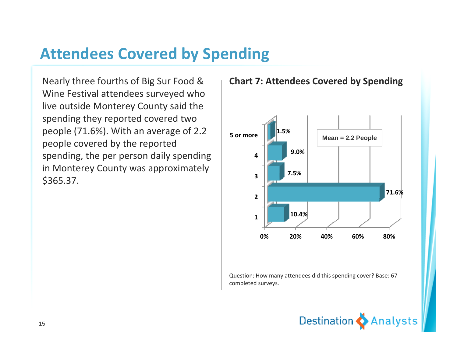### **Attendees Covered by Spending**

Nearly three fourths of Big Sur Food & Wine Festival attendees surveyed who live outside Monterey County said the spending they reported covered two people (71.6%). With an average of 2.2 people covered by the reported spending, the per person daily spending letter than in Monterey County was approximately \$365.37.



#### **Chart 7: Attendees Covered by Spending**

Question: How many attendees did this spending cover? Base: 67 completed surveys.

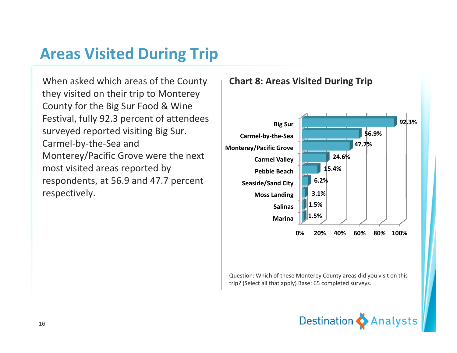### **Areas Visited During Trip**

When asked which areas of the County they visited on their trip to Monterey County for the Big Sur Food & Wine Festival, fully 92.3 percent of attendees surveyed reported visiting Big Sur. Carmel‐by‐the‐Sea and Monterey/Pacific Grove were the next<br>most visited areas reported bv t visited areas reported by respondents, at 56.9 and 47.7 percent **respectively. Moss Landing** 



Question: Which of these Monterey County areas did you visit on this trip? (Select all that apply) Base: 65 completed surveys.

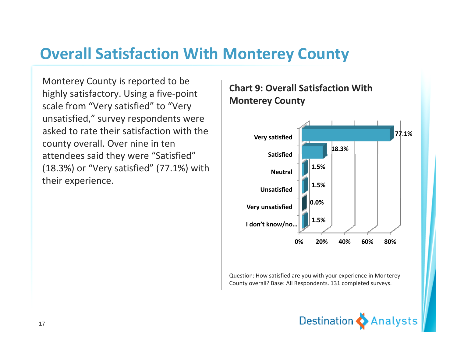### **Overall Satisfaction With Monterey County**

Monterey County is reported to be highly satisfactory. Using a five-point scale from "Very satisfied" to "Very scale from "Very satisfied" to "Very<br>unsatisfied," survey respondents were asked to rate their satisfaction with the county overall. Over nine in ten attendees said they were "Satisfied" **And in Satisfied** (18.3%) or "Very satisfied" (77.1%) with their experience.

# **Chart 9: Overall Satisfaction With**



Question: How satisfied are you with your experience in Monterey County overall? Base: All Respondents. 131 completed surveys.

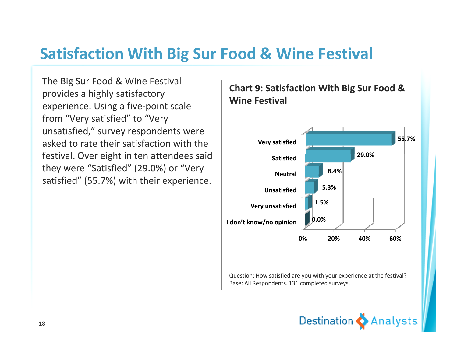### **Satisfaction With Big Sur Food & Wine Festival**

The Big Sur Food & Wine Festival provides <sup>a</sup> highly satisfactory experience. Using a five-point scale from "Very satisfied" to "Very unsatisfied," survey respondents were asked to rate their satisfaction with the festival. Over eight in ten attendees said they were "Satisfied" (29.0%) or "Very satisfied" (55.7%) with their experience.

#### **Chart 9: Satisfaction With Big Sur Food & Wine Festival**



Question: How satisfied are you with your experience at the festival? Base: All Respondents. 131 completed surveys.

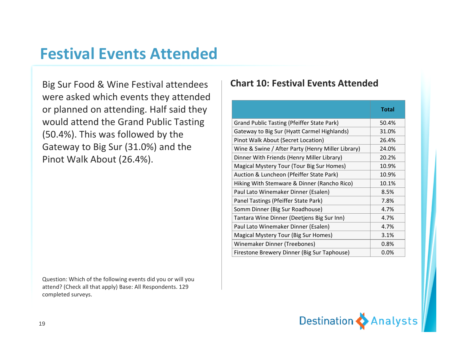### **Festival Events Attended**

Big Sur Food & Wine Festival attendees were asked which events they attended or planned on attending. Half said they the state of the state of the state of the state of the state of the sta would attend the Grand Public Tasting (50.4%). This was followed by the Gateway to Big Sur (31.0%) and the

Question: Which of the following events did you or will you attend? (Check all that apply) Base: All Respondents. 129 completed surveys.

#### **Chart 10: Festival Events Attended**

|                                                                                                                                                                                          |                                                   | <b>Total</b> |
|------------------------------------------------------------------------------------------------------------------------------------------------------------------------------------------|---------------------------------------------------|--------------|
|                                                                                                                                                                                          |                                                   |              |
|                                                                                                                                                                                          | <b>Grand Public Tasting (Pfeiffer State Park)</b> | 50.4%        |
|                                                                                                                                                                                          | Gateway to Big Sur (Hyatt Carmel Highlands)       | 31.0%        |
|                                                                                                                                                                                          | Pinot Walk About (Secret Location)                | 26.4%        |
|                                                                                                                                                                                          | Wine & Swine / After Party (Henry Miller Library) | 24.0%        |
| or planned on attending. Half said they<br>would attend the Grand Public Tasting<br>(50.4%). This was followed by the<br>Gateway to Big Sur (31.0%) and the<br>Pinot Walk About (26.4%). | Dinner With Friends (Henry Miller Library)        | 20.2%        |
|                                                                                                                                                                                          | Magical Mystery Tour (Tour Big Sur Homes)         | 10.9%        |
|                                                                                                                                                                                          | Auction & Luncheon (Pfeiffer State Park)          | 10.9%        |
|                                                                                                                                                                                          | Hiking With Stemware & Dinner (Rancho Rico)       | 10.1%        |
|                                                                                                                                                                                          | Paul Lato Winemaker Dinner (Esalen)               | 8.5%         |
|                                                                                                                                                                                          | Panel Tastings (Pfeiffer State Park)              | 7.8%         |
|                                                                                                                                                                                          | Somm Dinner (Big Sur Roadhouse)                   | 4.7%         |
|                                                                                                                                                                                          | Tantara Wine Dinner (Deetjens Big Sur Inn)        | 4.7%         |
|                                                                                                                                                                                          | Paul Lato Winemaker Dinner (Esalen)               | 4.7%         |
|                                                                                                                                                                                          | Magical Mystery Tour (Big Sur Homes)              | 3.1%         |
|                                                                                                                                                                                          | Winemaker Dinner (Treebones)                      | 0.8%         |
|                                                                                                                                                                                          | Firestone Brewery Dinner (Big Sur Taphouse)       | 0.0%         |

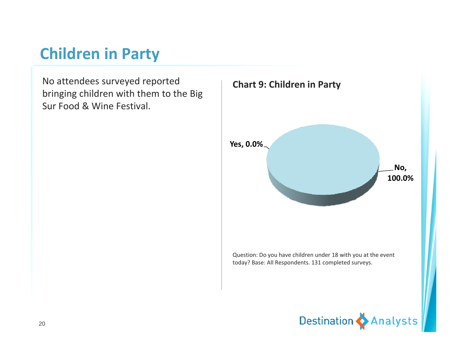### **Children in Party**

No attendees surveyed reported bringing children with them to the Big Sur Food & Wine Festival.

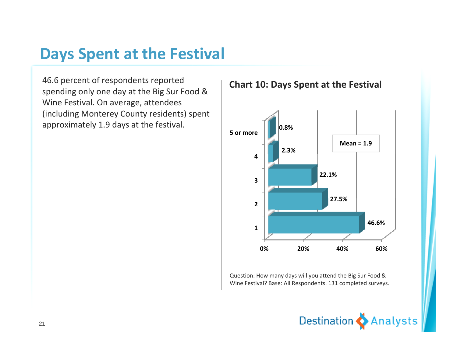### **Days Spent at the Festival**

46.6 percent of respondents reported spending only one day at the Big Sur Food & Wine Festival. On average, attendees (including Monterey County residents) spent approximately 1.9 days at the festival.





Question: How many days will you attend the Big Sur Food & Wine Festival? Base: All Respondents. 131 completed surveys.

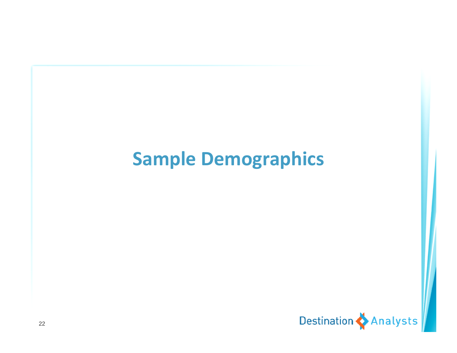# **Sample Demographics**

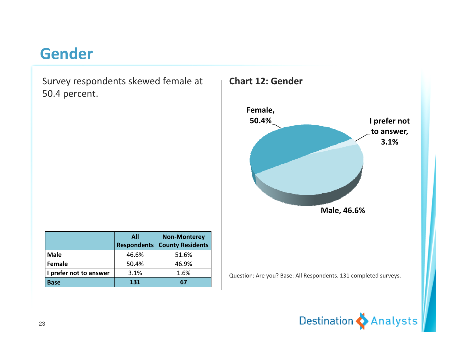### **Gender**

Survey respondents skewed female at 50.4 percent.

|                        | <b>All</b><br><b>Respondents</b> | <b>Non-Monterey</b><br><b>County Residents</b> |
|------------------------|----------------------------------|------------------------------------------------|
| <b>Male</b>            | 46.6%                            | 51.6%                                          |
| Female                 | 50.4%                            | 46.9%                                          |
| I prefer not to answer | 3.1%                             | 1.6%                                           |
| <b>Base</b>            | 131                              |                                                |



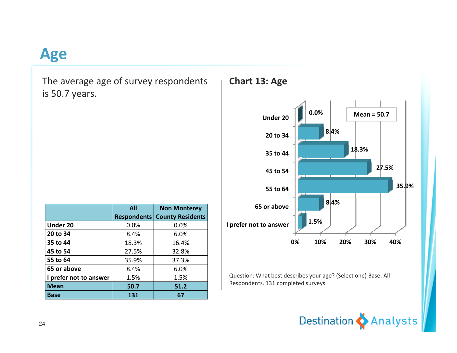### **Age**

The average age of survey respondents is 50.7 years.

|                        | <b>All</b>         | <b>Non Monterey</b>     |
|------------------------|--------------------|-------------------------|
|                        | <b>Respondents</b> | <b>County Residents</b> |
| <b>Under 20</b>        | 0.0%               | 0.0%                    |
| 20 to 34               | 8.4%               | 6.0%                    |
| 35 to 44               | 18.3%              | 16.4%                   |
| 45 to 54               | 27.5%              | 32.8%                   |
| 55 to 64               | 35.9%              | 37.3%                   |
| 65 or above            | 8.4%               | 6.0%                    |
| I prefer not to answer | 1.5%               | 1.5%                    |
| <b>Mean</b>            | 50.7               | 51.2                    |
| <b>Base</b>            | 131                | 67                      |





Question: What best describes your age? (Select one) Base: All Respondents. 131 completed surveys.

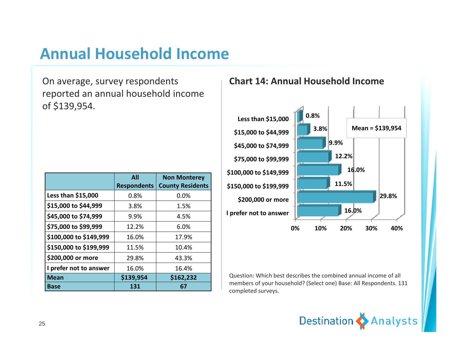### **Annual Household Income**

On average, survey respondents reported an annual household income of \$139,954.

|                        | <b>All</b><br><b>Respondents</b> | <b>Non Monterey</b><br><b>County Residents</b> |
|------------------------|----------------------------------|------------------------------------------------|
| Less than \$15,000     | 0.8%                             | 0.0%                                           |
| \$15,000 to \$44,999   | 3.8%                             | 1.5%                                           |
| \$45,000 to \$74,999   | 9.9%                             | 4.5%                                           |
| \$75,000 to \$99,999   | 12.2%                            | 6.0%                                           |
| \$100,000 to \$149,999 | 16.0%                            | 17.9%                                          |
| \$150,000 to \$199,999 | 11.5%                            | 10.4%                                          |
| \$200,000 or more      | 29.8%                            | 43.3%                                          |
| I prefer not to answer | 16.0%                            | 16.4%                                          |
| <b>Mean</b>            | \$139,954                        | \$162,232                                      |
| <b>Base</b>            | 131                              | 67                                             |

#### **Chart 14: Annual Household Income**



Question: Which best describes the combined annual income of all members of your household? (Select one) Base: All Respondents. 131 completed surveys.

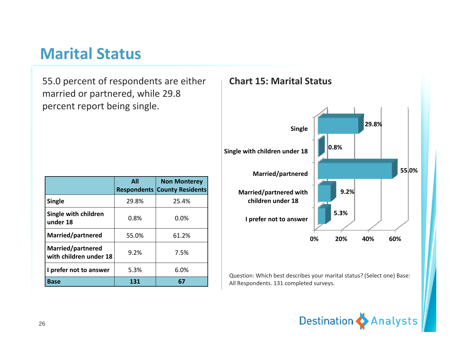### **Marital Status**

55.0 percent of respondents are either married or partnered, while 29.8 percent report being single.

|                                             | <b>All</b> | <b>Non Monterey</b><br><b>Respondents County Residents</b> |
|---------------------------------------------|------------|------------------------------------------------------------|
| Single                                      | 29.8%      | 25.4%                                                      |
| Single with children<br>under 18            | 0.8%       | 0.0%                                                       |
| Married/partnered                           | 55.0%      | 61.2%                                                      |
| Married/partnered<br>with children under 18 | 9.2%       | 7.5%                                                       |
| I prefer not to answer                      | 5.3%       | 6.0%                                                       |
| <b>Base</b>                                 | 131        | 67                                                         |



Question: Which best describes your marital status? (Select one) Base: All Respondents. 131 completed surveys.

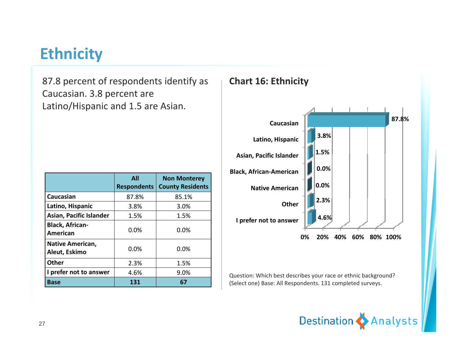### **Ethnicity**

87.8 percent of respondents identify as Caucasian. 3.8 percent are Latino/Hispanic and 1.5 are Asian.

|                                          | All<br><b>Respondents</b> | <b>Non Monterey</b><br><b>County Residents</b> |
|------------------------------------------|---------------------------|------------------------------------------------|
| Caucasian                                | 87.8%                     | 85.1%                                          |
| Latino, Hispanic                         | 3.8%                      | 3.0%                                           |
| Asian, Pacific Islander                  | 1.5%                      | 1.5%                                           |
| <b>Black, African-</b><br>American       | 0.0%                      | 0.0%                                           |
| <b>Native American,</b><br>Aleut, Eskimo | 0.0%                      | 0.0%                                           |
| <b>Other</b>                             | 2.3%                      | 1.5%                                           |
| I prefer not to answer                   | 4.6%                      | 9.0%                                           |
| Base                                     | 131                       | 67                                             |



Question: Which best describes your race or ethnic background? (Select one) Base: All Respondents. 131 completed surveys.